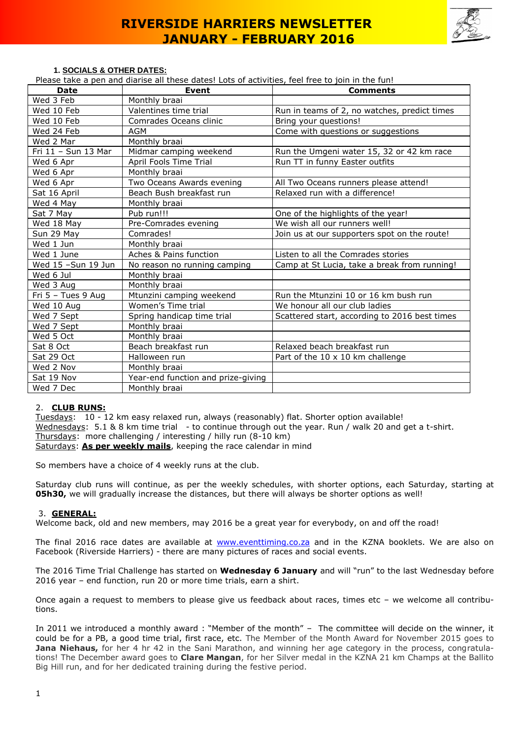

#### **1. SOCIALS & OTHER DATES:**

Please take a pen and diarise all these dates! Lots of activities, feel free to join in the fun!

| <b>Date</b>          | Event                              | <b>Comments</b>                               |
|----------------------|------------------------------------|-----------------------------------------------|
| Wed 3 Feb            | Monthly braai                      |                                               |
| Wed 10 Feb           | Valentines time trial              | Run in teams of 2, no watches, predict times  |
| Wed 10 Feb           | Comrades Oceans clinic             | Bring your questions!                         |
| Wed 24 Feb           | <b>AGM</b>                         | Come with questions or suggestions            |
| Wed 2 Mar            | Monthly braai                      |                                               |
| Fri 11 - Sun 13 Mar  | Midmar camping weekend             | Run the Umgeni water 15, 32 or 42 km race     |
| Wed 6 Apr            | April Fools Time Trial             | Run TT in funny Easter outfits                |
| Wed 6 Apr            | Monthly braai                      |                                               |
| Wed 6 Apr            | Two Oceans Awards evening          | All Two Oceans runners please attend!         |
| Sat 16 April         | Beach Bush breakfast run           | Relaxed run with a difference!                |
| Wed 4 May            | Monthly braai                      |                                               |
| Sat 7 May            | Pub run!!!                         | One of the highlights of the year!            |
| Wed 18 May           | Pre-Comrades evening               | We wish all our runners well!                 |
| Sun 29 May           | Comrades!                          | Join us at our supporters spot on the route!  |
| Wed 1 Jun            | Monthly braai                      |                                               |
| Wed 1 June           | Aches & Pains function             | Listen to all the Comrades stories            |
| Wed 15 -Sun 19 Jun   | No reason no running camping       | Camp at St Lucia, take a break from running!  |
| Wed 6 Jul            | Monthly braai                      |                                               |
| Wed 3 Aug            | Monthly braai                      |                                               |
| Fri $5 -$ Tues 9 Aug | Mtunzini camping weekend           | Run the Mtunzini 10 or 16 km bush run         |
| Wed 10 Aug           | Women's Time trial                 | We honour all our club ladies                 |
| Wed 7 Sept           | Spring handicap time trial         | Scattered start, according to 2016 best times |
| Wed 7 Sept           | Monthly braai                      |                                               |
| Wed 5 Oct            | Monthly braai                      |                                               |
| Sat 8 Oct            | Beach breakfast run                | Relaxed beach breakfast run                   |
| Sat 29 Oct           | Halloween run                      | Part of the 10 x 10 km challenge              |
| Wed 2 Nov            | Monthly braai                      |                                               |
| Sat 19 Nov           | Year-end function and prize-giving |                                               |
| Wed 7 Dec            | Monthly braai                      |                                               |

#### 2. **CLUB RUNS:**

Tuesdays: 10 - 12 km easy relaxed run, always (reasonably) flat. Shorter option available! Wednesdays: 5.1 & 8 km time trial - to continue through out the year. Run / walk 20 and get a t-shirt. Thursdays: more challenging / interesting / hilly run (8-10 km) Saturdays: **As per weekly mails**, keeping the race calendar in mind

So members have a choice of 4 weekly runs at the club.

Saturday club runs will continue, as per the weekly schedules, with shorter options, each Saturday, starting at **05h30,** we will gradually increase the distances, but there will always be shorter options as well!

#### 3. **GENERAL:**

Welcome back, old and new members, may 2016 be a great year for everybody, on and off the road!

The final 2016 race dates are available at [www.eventtiming.co.za](http://www.eventtiming.co.za/) and in the KZNA booklets. We are also on Facebook (Riverside Harriers) - there are many pictures of races and social events.

The 2016 Time Trial Challenge has started on **Wednesday 6 January** and will "run" to the last Wednesday before 2016 year – end function, run 20 or more time trials, earn a shirt.

Once again a request to members to please give us feedback about races, times etc – we welcome all contributions.

In 2011 we introduced a monthly award : "Member of the month" – The committee will decide on the winner, it could be for a PB, a good time trial, first race, etc. The Member of the Month Award for November 2015 goes to **Jana Niehaus,** for her 4 hr 42 in the Sani Marathon, and winning her age category in the process, congratulations! The December award goes to **Clare Mangan**, for her Silver medal in the KZNA 21 km Champs at the Ballito Big Hill run, and for her dedicated training during the festive period.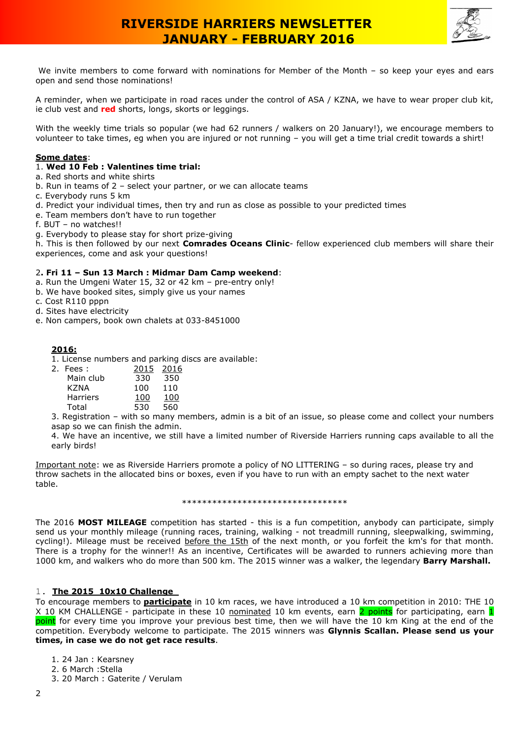

We invite members to come forward with nominations for Member of the Month - so keep your eyes and ears open and send those nominations!

A reminder, when we participate in road races under the control of ASA / KZNA, we have to wear proper club kit, ie club vest and **red** shorts, longs, skorts or leggings.

With the weekly time trials so popular (we had 62 runners / walkers on 20 January!), we encourage members to volunteer to take times, eg when you are injured or not running – you will get a time trial credit towards a shirt!

## **Some dates**:

## 1. **Wed 10 Feb : Valentines time trial:**

- a. Red shorts and white shirts
- b. Run in teams of 2 select your partner, or we can allocate teams
- c. Everybody runs 5 km
- d. Predict your individual times, then try and run as close as possible to your predicted times
- e. Team members don't have to run together
- f. BUT no watches!!
- g. Everybody to please stay for short prize-giving

h. This is then followed by our next **Comrades Oceans Clinic**- fellow experienced club members will share their experiences, come and ask your questions!

### 2**. Fri 11 – Sun 13 March : Midmar Dam Camp weekend**:

- a. Run the Umgeni Water 15, 32 or 42 km pre-entry only!
- b. We have booked sites, simply give us your names
- c. Cost R110 pppn
- d. Sites have electricity
- e. Non campers, book own chalets at 033-8451000

### **2016:**

1. License numbers and parking discs are available:

| 2. Fees :       | 2015 | 2016 |
|-----------------|------|------|
| Main club       | 330  | 350  |
| K7NA            | 100  | 110  |
| <b>Harriers</b> | 100  | 100  |
| Total           | 530  | 560  |

3. Registration – with so many members, admin is a bit of an issue, so please come and collect your numbers asap so we can finish the admin.

4. We have an incentive, we still have a limited number of Riverside Harriers running caps available to all the early birds!

Important note: we as Riverside Harriers promote a policy of NO LITTERING – so during races, please try and throw sachets in the allocated bins or boxes, even if you have to run with an empty sachet to the next water table.

#### \*\*\*\*\*\*\*\*\*\*\*\*\*\*\*\*\*\*\*\*\*\*\*\*\*\*\*\*\*\*\*\*\*

The 2016 **MOST MILEAGE** competition has started - this is a fun competition, anybody can participate, simply send us your monthly mileage (running races, training, walking - not treadmill running, sleepwalking, swimming, cycling!). Mileage must be received before the 15th of the next month, or you forfeit the km's for that month. There is a trophy for the winner!! As an incentive, Certificates will be awarded to runners achieving more than 1000 km, and walkers who do more than 500 km. The 2015 winner was a walker, the legendary **Barry Marshall.**

### 1. **The 2015 10x10 Challenge**

To encourage members to **participate** in 10 km races, we have introduced a 10 km competition in 2010: THE 10 X 10 KM CHALLENGE - participate in these 10 nominated 10 km events, earn 2 points for participating, earn 1 point for every time you improve your previous best time, then we will have the 10 km King at the end of the competition. Everybody welcome to participate. The 2015 winners was **Glynnis Scallan. Please send us your times, in case we do not get race results**.

1. 24 Jan : Kearsney

- 2. 6 March :Stella
- 3. 20 March : Gaterite / Verulam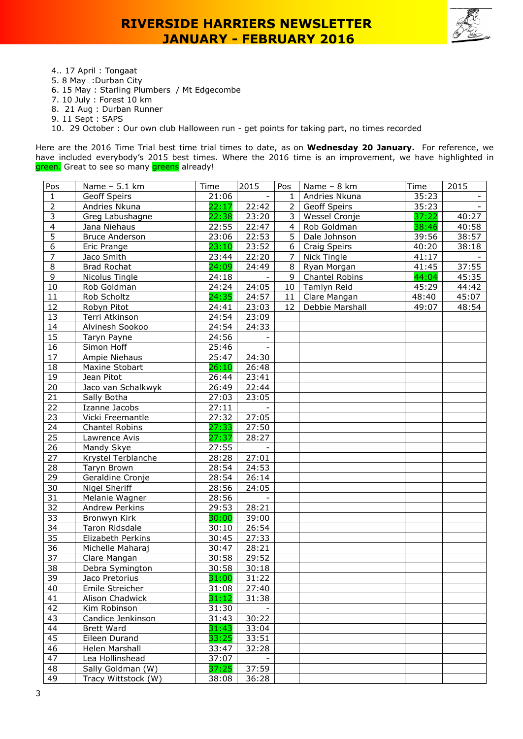

4.. 17 April : Tongaat

- 5. 8 May :Durban City
- 6. 15 May : Starling Plumbers / Mt Edgecombe
- 7. 10 July : Forest 10 km
- 8. 21 Aug : Durban Runner
- 9. 11 Sept : SAPS
- 10. 29 October : Our own club Halloween run get points for taking part, no times recorded

Here are the 2016 Time Trial best time trial times to date, as on **Wednesday 20 January.** For reference, we have included everybody's 2015 best times. Where the 2016 time is an improvement, we have highlighted in green. Great to see so many greens already!

| Pos                     | Name - 5.1 km         | Time                | 2015               | Pos            | Name - 8 km         | Time  | 2015  |
|-------------------------|-----------------------|---------------------|--------------------|----------------|---------------------|-------|-------|
| $\mathbf{1}$            | <b>Geoff Speirs</b>   | 21:06               |                    | $\mathbf{1}$   | Andries Nkuna       | 35:23 |       |
| $\overline{2}$          | Andries Nkuna         | 22:17               | 22:42              | $\overline{2}$ | <b>Geoff Speirs</b> | 35:23 |       |
| 3                       | Greg Labushagne       | 22:38               | 23:20              | 3              | Wessel Cronje       | 37:22 | 40:27 |
| $\overline{\mathbf{4}}$ | Jana Niehaus          | 22:55               | 22:47              | $\overline{4}$ | Rob Goldman         | 38:46 | 40:58 |
| $\overline{5}$          | <b>Bruce Anderson</b> | 23:06               | 22:53              | 5              | Dale Johnson        | 39:56 | 38:57 |
| 6                       | Eric Prange           | 23:10               | 23:52              | 6              | Craig Speirs        | 40:20 | 38:18 |
| $\overline{7}$          | Jaco Smith            | 23:44               | 22:20              | 7              | Nick Tingle         | 41:17 |       |
| 8                       | <b>Brad Rochat</b>    | 24:09               | 24:49              | 8              | Ryan Morgan         | 41:45 | 37:55 |
| $\overline{9}$          | Nicolus Tingle        | 24:18               |                    | 9              | Chantel Robins      | 44:04 | 45:35 |
| 10                      | Rob Goldman           | 24:24               | 24:05              | 10             | Tamlyn Reid         | 45:29 | 44:42 |
| 11                      | Rob Scholtz           | 24:35               | 24:57              | 11             | Clare Mangan        | 48:40 | 45:07 |
| 12                      | Robyn Pitot           | 24:41               | 23:03              | 12             | Debbie Marshall     | 49:07 | 48:54 |
| 13                      | Terri Atkinson        | $\overline{2}$ 4:54 | 23:09              |                |                     |       |       |
| 14                      | Alvinesh Sookoo       | 24:54               | 24:33              |                |                     |       |       |
| 15                      | Taryn Payne           | 24:56               |                    |                |                     |       |       |
| 16                      | Simon Hoff            | 25:46               |                    |                |                     |       |       |
| 17                      | Ampie Niehaus         | 25:47               | 24:30              |                |                     |       |       |
| 18                      | Maxine Stobart        | 26:10               | 26:48              |                |                     |       |       |
| 19                      | Jean Pitot            | 26:44               | 23:41              |                |                     |       |       |
| $\overline{20}$         | Jaco van Schalkwyk    | 26:49               | 22:44              |                |                     |       |       |
| $\overline{21}$         | Sally Botha           | 27:03               | 23:05              |                |                     |       |       |
| 22                      | Izanne Jacobs         | 27:11               |                    |                |                     |       |       |
| 23                      | Vicki Freemantle      | 27:32               | 27:05              |                |                     |       |       |
| 24                      | <b>Chantel Robins</b> | 27:33               | 27:50              |                |                     |       |       |
| $\overline{25}$         | Lawrence Avis         | 27:37               | 28:27              |                |                     |       |       |
| 26                      | Mandy Skye            | 27:55               |                    |                |                     |       |       |
| 27                      | Krystel Terblanche    | 28:28               | 27:01              |                |                     |       |       |
| 28                      | Taryn Brown           | 28:54               | 24:53              |                |                     |       |       |
| $\overline{29}$         | Geraldine Cronje      | 28:54               | 26:14              |                |                     |       |       |
| 30                      | Nigel Sheriff         | 28:56               | 24:05              |                |                     |       |       |
| $\overline{31}$         | Melanie Wagner        | 28:56               |                    |                |                     |       |       |
| $\overline{32}$         | <b>Andrew Perkins</b> | 29:53               | 28:21              |                |                     |       |       |
| 33                      | Bronwyn Kirk          | 30:00               | 39:00              |                |                     |       |       |
| 34                      | Taron Ridsdale        | 30:10               | 26:54              |                |                     |       |       |
| $\overline{35}$         | Elizabeth Perkins     | 30:45               | $\overline{27:}33$ |                |                     |       |       |
| 36                      | Michelle Maharaj      | 30:47               | 28:21              |                |                     |       |       |
| 37                      | Clare Mangan          | 30:58               | 29:52              |                |                     |       |       |
| 38                      | Debra Symington       | 30:58               | 30:18              |                |                     |       |       |
| 39                      | Jaco Pretorius        | 31:00               | 31:22              |                |                     |       |       |
| 40                      | Emile Streicher       | 31:08               | 27:40              |                |                     |       |       |
| 41                      | Alison Chadwick       | 31:12               | 31:38              |                |                     |       |       |
| 42                      | Kim Robinson          | 31:30               |                    |                |                     |       |       |
| 43                      | Candice Jenkinson     | 31:43               | 30:22              |                |                     |       |       |
| 44                      | Brett Ward            | 31:43               | 33:04              |                |                     |       |       |
| 45                      | Eileen Durand         | 33:25               | 33:51              |                |                     |       |       |
| 46                      | Helen Marshall        | 33:47               | 32:28              |                |                     |       |       |
| 47                      | Lea Hollinshead       | 37:07               |                    |                |                     |       |       |
| 48                      | Sally Goldman (W)     | 37:25               | 37:59              |                |                     |       |       |
| 49                      | Tracy Wittstock (W)   | 38:08               | 36:28              |                |                     |       |       |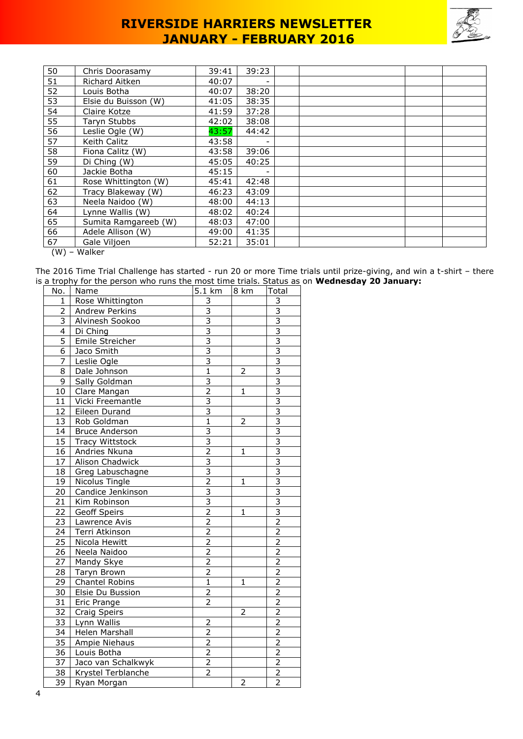

| 50 | Chris Doorasamy      | 39:41 | 39:23 |  |  |  |
|----|----------------------|-------|-------|--|--|--|
| 51 | Richard Aitken       | 40:07 |       |  |  |  |
| 52 | Louis Botha          | 40:07 | 38:20 |  |  |  |
| 53 | Elsie du Buisson (W) | 41:05 | 38:35 |  |  |  |
| 54 | Claire Kotze         | 41:59 | 37:28 |  |  |  |
| 55 | Taryn Stubbs         | 42:02 | 38:08 |  |  |  |
| 56 | Leslie Ogle (W)      | 43:57 | 44:42 |  |  |  |
| 57 | Keith Calitz         | 43:58 |       |  |  |  |
| 58 | Fiona Calitz (W)     | 43:58 | 39:06 |  |  |  |
| 59 | Di Ching (W)         | 45:05 | 40:25 |  |  |  |
| 60 | Jackie Botha         | 45:15 |       |  |  |  |
| 61 | Rose Whittington (W) | 45:41 | 42:48 |  |  |  |
| 62 | Tracy Blakeway (W)   | 46:23 | 43:09 |  |  |  |
| 63 | Neela Naidoo (W)     | 48:00 | 44:13 |  |  |  |
| 64 | Lynne Wallis (W)     | 48:02 | 40:24 |  |  |  |
| 65 | Sumita Ramgareeb (W) | 48:03 | 47:00 |  |  |  |
| 66 | Adele Allison (W)    | 49:00 | 41:35 |  |  |  |
| 67 | Gale Viljoen         | 52:21 | 35:01 |  |  |  |

(W) – Walker

The 2016 Time Trial Challenge has started - run 20 or more Time trials until prize-giving, and win a t-shirt – there is a trophy for the person who runs the most time trials. Status as on **Wednesday 20 January:**

| No.             | Name                   | $\overline{5.1 \text{ km}}$ | 8 km           | Total                       |
|-----------------|------------------------|-----------------------------|----------------|-----------------------------|
| 1               | Rose Whittington       | 3                           |                | $\overline{3}$              |
| 2               | Andrew Perkins         | $\frac{3}{3}$               |                | $\frac{3}{3}$               |
| $\overline{3}$  | Alvinesh Sookoo        |                             |                |                             |
| 4               | Di Ching               | $\overline{\mathbf{3}}$     |                |                             |
| $\overline{5}$  | Emile Streicher        | $\frac{3}{3}$               |                | $\frac{3}{3}$               |
| $\overline{6}$  | Jaco Smith             |                             |                |                             |
| $\overline{7}$  | Leslie Ogle            |                             |                |                             |
| 8               | Dale Johnson           | $\overline{1}$              | $\overline{2}$ | $\overline{3}$              |
| 9               | Sally Goldman          | $\overline{3}$              |                | $\overline{3}$              |
| 10              | Clare Mangan           | $\overline{2}$              | $\mathbf{1}$   | $\overline{3}$              |
| 11              | Vicki Freemantle       | $\overline{\mathbf{3}}$     |                | $\overline{3}$              |
| 12              | Eileen Durand          | $\overline{\mathbf{3}}$     |                | $\overline{3}$              |
| 13              | Rob Goldman            | $\overline{1}$              | 2              | $\frac{3}{3}$               |
| 14              | <b>Bruce Anderson</b>  | $\overline{3}$              |                |                             |
| 15              | <b>Tracy Wittstock</b> | $\overline{3}$              |                | $\overline{\mathbf{3}}$     |
| 16              | Andries Nkuna          | $\overline{2}$              | $\mathbf{1}$   | $\overline{3}$              |
| 17              | <b>Alison Chadwick</b> | $\overline{3}$              |                | $\overline{3}$              |
| 18              | Greg Labuschagne       | $\overline{3}$              |                | $\overline{3}$              |
| 19              | Nicolus Tingle         | $\overline{2}$              | 1              | $\overline{3}$              |
| 20              | Candice Jenkinson      |                             |                |                             |
| $\overline{21}$ | Kim Robinson           | $\frac{3}{2}$               |                | $\frac{3}{3}$               |
| 22              | <b>Geoff Speirs</b>    |                             | 1              |                             |
| 23              | Lawrence Avis          | $\overline{2}$              |                | $\overline{2}$              |
| 24              | Terri Atkinson         | $\overline{2}$              |                | $\overline{2}$              |
| 25              | Nicola Hewitt          | $\frac{2}{2}$               |                | $\frac{2}{2}$               |
| $\overline{26}$ | Neela Naidoo           |                             |                |                             |
| 27              | Mandy Skye             | $\frac{2}{2}$               |                |                             |
| 28              | Taryn Brown            |                             |                | $\frac{2}{2}$ $\frac{2}{2}$ |
| 29              | Chantel Robins         | $\overline{1}$              | 1              |                             |
| 30              | Elsie Du Bussion       | $\frac{1}{2}$               |                |                             |
| 31              | Eric Prange            | $\overline{2}$              |                | $\frac{2}{2}$               |
| $\overline{32}$ | <b>Craig Speirs</b>    |                             | $\overline{2}$ |                             |
| 33              | Lynn Wallis            | $\overline{2}$              |                | $\frac{2}{2}$               |
| 34              | Helen Marshall         | $\overline{2}$              |                |                             |
| 35              | Ampie Niehaus          | $\frac{2}{2}$ $\frac{2}{2}$ |                |                             |
| $\overline{36}$ | Louis Botha            |                             |                |                             |
| $\overline{37}$ | Jaco van Schalkwyk     |                             |                |                             |
| 38              | Krystel Terblanche     |                             |                | $\frac{2}{2}$ $\frac{2}{2}$ |
| $\overline{39}$ | Ryan Morgan            |                             | $\overline{2}$ |                             |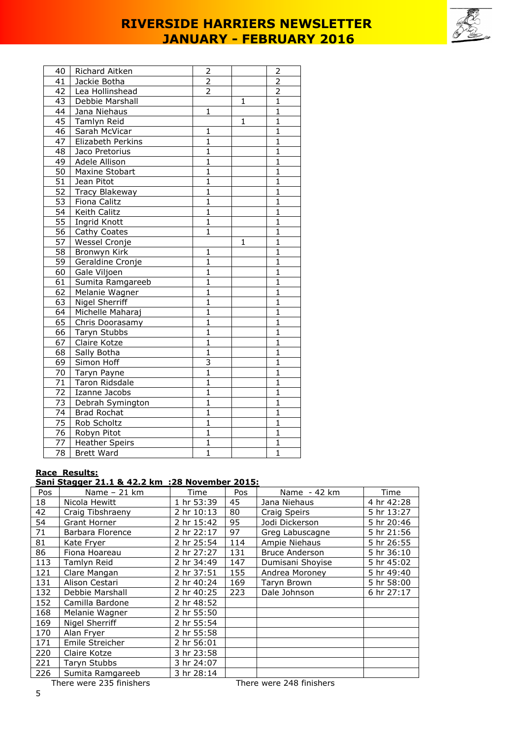

| 40              | Richard Aitken        |                |              | 2              |
|-----------------|-----------------------|----------------|--------------|----------------|
| 41              | Jackie Botha          | $\frac{2}{2}$  |              | $\overline{2}$ |
| 42              | Lea Hollinshead       | $\overline{2}$ |              | $\overline{2}$ |
| 43              | Debbie Marshall       |                | $\mathbf{1}$ | $\overline{1}$ |
| 44              | Jana Niehaus          | $\mathbf{1}$   |              | $\mathbf{1}$   |
| 45              | Tamlyn Reid           |                | $\mathbf{1}$ | $\mathbf{1}$   |
| 46              | Sarah McVicar         | 1              |              | $\mathbf{1}$   |
| 47              | Elizabeth Perkins     | 1              |              | $\mathbf{1}$   |
| 48              | Jaco Pretorius        | 1              |              | 1              |
| 49              | Adele Allison         | $\mathbf{1}$   |              | $\mathbf{1}$   |
| 50              | Maxine Stobart        | $\mathbf{1}$   |              | $\mathbf{1}$   |
| 51              | Jean Pitot            | $\overline{1}$ |              | $\overline{1}$ |
| 52              | <b>Tracy Blakeway</b> | $\overline{1}$ |              | $\overline{1}$ |
| 53              | Fiona Calitz          | $\mathbf{1}$   |              | $\mathbf{1}$   |
| 54              | Keith Calitz          | $\mathbf{1}$   |              | $\overline{1}$ |
| $\overline{55}$ | Ingrid Knott          | $\mathbf{1}$   |              | $\mathbf{1}$   |
| $\overline{56}$ | Cathy Coates          | $\mathbf{1}$   |              | $\mathbf{1}$   |
| 57              | Wessel Cronje         |                | 1            | $\mathbf{1}$   |
| 58              | Bronwyn Kirk          | $\mathbf{1}$   |              | $\mathbf{1}$   |
| 59              | Geraldine Cronje      | $\mathbf{1}$   |              | $\overline{1}$ |
| 60              | Gale Viljoen          | 1              |              | $\mathbf{1}$   |
| 61              | Sumita Ramgareeb      | 1              |              | 1              |
| 62              | Melanie Wagner        | $\mathbf{1}$   |              | $\mathbf{1}$   |
| 63              | Nigel Sherriff        | $\mathbf{1}$   |              | $\mathbf{1}$   |
| 64              | Michelle Maharaj      | $\mathbf{1}$   |              | $\mathbf{1}$   |
| 65              | Chris Doorasamy       | $\mathbf{1}$   |              | $\mathbf{1}$   |
| 66              | Taryn Stubbs          | $\overline{1}$ |              | $\overline{1}$ |
| 67              | Claire Kotze          | $\mathbf{1}$   |              | $\mathbf{1}$   |
| 68              | Sally Botha           | $\overline{1}$ |              | $\mathbf{1}$   |
| 69              | Simon Hoff            | $\overline{3}$ |              | $\overline{1}$ |
| 70              | Taryn Payne           | $\mathbf{1}$   |              | $\mathbf{1}$   |
| $\overline{71}$ | <b>Taron Ridsdale</b> | $\mathbf{1}$   |              | $\mathbf{1}$   |
| 72              | Izanne Jacobs         | $\mathbf{1}$   |              | $\mathbf{1}$   |
| 73              | Debrah Symington      | $\overline{1}$ |              | $\overline{1}$ |
| 74              | <b>Brad Rochat</b>    | $\mathbf{1}$   |              | 1              |
| 75              | Rob Scholtz           | $\mathbf{1}$   |              | $\mathbf{1}$   |
| 76              | Robyn Pitot           | $\mathbf{1}$   |              | $\mathbf{1}$   |
| 77              | Heather Speirs        | $\mathbf{1}$   |              | $\mathbf{1}$   |
| 78              | <b>Brett Ward</b>     | $\overline{1}$ |              | $\overline{1}$ |

#### **Race Results:**

#### **Sani Stagger 21.1 & 42.2 km :28 November 2015:**

| Pos | Name $-21$ km    | Time       | Pos | Name - 42 km          | Time       |
|-----|------------------|------------|-----|-----------------------|------------|
| 18  | Nicola Hewitt    | 1 hr 53:39 | 45  | Jana Niehaus          | 4 hr 42:28 |
| 42  | Craig Tibshraeny | 2 hr 10:13 | 80  | Craig Speirs          | 5 hr 13:27 |
| 54  | Grant Horner     | 2 hr 15:42 | 95  | Jodi Dickerson        | 5 hr 20:46 |
| 71  | Barbara Florence | 2 hr 22:17 | 97  | Greg Labuscagne       | 5 hr 21:56 |
| 81  | Kate Fryer       | 2 hr 25:54 | 114 | Ampie Niehaus         | 5 hr 26:55 |
| 86  | Fiona Hoareau    | 2 hr 27:27 | 131 | <b>Bruce Anderson</b> | 5 hr 36:10 |
| 113 | Tamlvn Reid      | 2 hr 34:49 | 147 | Dumisani Shoyise      | 5 hr 45:02 |
| 121 | Clare Mangan     | 2 hr 37:51 | 155 | Andrea Moroney        | 5 hr 49:40 |
| 131 | Alison Cestari   | 2 hr 40:24 | 169 | Taryn Brown           | 5 hr 58:00 |
| 132 | Debbie Marshall  | 2 hr 40:25 | 223 | Dale Johnson          | 6 hr 27:17 |
| 152 | Camilla Bardone  | 2 hr 48:52 |     |                       |            |
| 168 | Melanie Wagner   | 2 hr 55:50 |     |                       |            |
| 169 | Nigel Sherriff   | 2 hr 55:54 |     |                       |            |
| 170 | Alan Fryer       | 2 hr 55:58 |     |                       |            |
| 171 | Emile Streicher  | 2 hr 56:01 |     |                       |            |
| 220 | Claire Kotze     | 3 hr 23:58 |     |                       |            |
| 221 | Taryn Stubbs     | 3 hr 24:07 |     |                       |            |
| 226 | Sumita Ramgareeb | 3 hr 28:14 |     |                       |            |

There were 235 finishers There were 248 finishers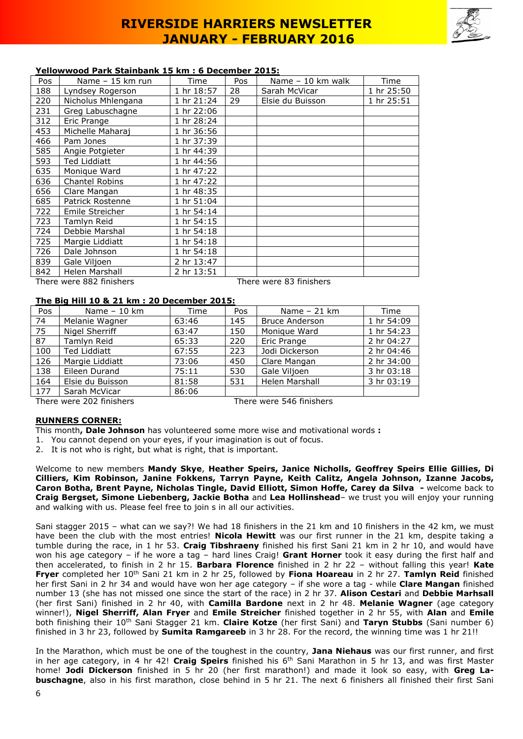

#### **Yellowwood Park Stainbank 15 km : 6 December 2015:**

| Pos | <u> Shohnoos i una saumbuma 25 km i v possinbol 2020.</u><br>Name - 15 km run | Time       | Pos        | Name - 10 km walk | Time       |
|-----|-------------------------------------------------------------------------------|------------|------------|-------------------|------------|
| 188 | Lyndsey Rogerson                                                              | 1 hr 18:57 | 28         | Sarah McVicar     | 1 hr 25:50 |
| 220 | Nicholus Mhlengana                                                            | 1 hr 21:24 | 29         | Elsie du Buisson  | 1 hr 25:51 |
| 231 | Greg Labuschagne                                                              | 1 hr 22:06 |            |                   |            |
| 312 | Eric Prange                                                                   | 1 hr 28:24 |            |                   |            |
| 453 | Michelle Maharaj                                                              | 1 hr 36:56 |            |                   |            |
| 466 | Pam Jones                                                                     | 1 hr 37:39 |            |                   |            |
| 585 | Angie Potgieter                                                               | 1 hr 44:39 |            |                   |            |
| 593 | <b>Ted Liddiatt</b>                                                           | 1 hr 44:56 |            |                   |            |
| 635 | Monique Ward                                                                  | 1 hr 47:22 |            |                   |            |
| 636 | Chantel Robins                                                                | 1 hr 47:22 |            |                   |            |
| 656 | Clare Mangan                                                                  | 1 hr 48:35 |            |                   |            |
| 685 | Patrick Rostenne                                                              | 1 hr 51:04 |            |                   |            |
| 722 | Emile Streicher                                                               | 1 hr 54:14 |            |                   |            |
| 723 | Tamlyn Reid                                                                   | 1 hr 54:15 |            |                   |            |
| 724 | Debbie Marshal                                                                | 1 hr 54:18 |            |                   |            |
| 725 | Margie Liddiatt                                                               | 1 hr 54:18 |            |                   |            |
| 726 | Dale Johnson                                                                  | 1 hr 54:18 |            |                   |            |
| 839 | Gale Viljoen                                                                  | 2 hr 13:47 |            |                   |            |
| 842 | Helen Marshall                                                                | 2 hr 13:51 |            |                   |            |
|     |                                                                               |            | — <b>.</b> | .                 |            |

There were 882 finishers There were 83 finishers

#### **The Big Hill 10 & 21 km : 20 December 2015:**

| Pos | Name $-10$ km       | Time  | Pos | Name $-21$ km         | Time       |
|-----|---------------------|-------|-----|-----------------------|------------|
| 74  | Melanie Wagner      | 63:46 | 145 | <b>Bruce Anderson</b> | 1 hr 54:09 |
| 75  | Nigel Sherriff      | 63:47 | 150 | Monique Ward          | 1 hr 54:23 |
| 87  | Tamlyn Reid         | 65:33 | 220 | Eric Prange           | 2 hr 04:27 |
| 100 | <b>Ted Liddiatt</b> | 67:55 | 223 | Jodi Dickerson        | 2 hr 04:46 |
| 126 | Margie Liddiatt     | 73:06 | 450 | Clare Mangan          | 2 hr 34:00 |
| 138 | Eileen Durand       | 75:11 | 530 | Gale Viljoen          | 3 hr 03:18 |
| 164 | Elsie du Buisson    | 81:58 | 531 | Helen Marshall        | 3 hr 03:19 |
| 177 | Sarah McVicar       | 86:06 |     |                       |            |

There were 202 finishers There were 546 finishers

#### **RUNNERS CORNER:**

This month**, Dale Johnson** has volunteered some more wise and motivational words **:** 

1. You cannot depend on your eyes, if your imagination is out of focus.

2. It is not who is right, but what is right, that is important.

Welcome to new members **Mandy Skye**, **Heather Speirs, Janice Nicholls, Geoffrey Speirs Ellie Gillies, Di Cilliers, Kim Robinson, Janine Fokkens, Tarryn Payne, Keith Calitz, Angela Johnson, Izanne Jacobs, Caron Botha, Brent Payne, Nicholas Tingle, David Elliott, Simon Hoffe, Carey da Silva -** welcome back to **Craig Bergset, Simone Liebenberg, Jackie Botha** and **Lea Hollinshead**– we trust you will enjoy your running and walking with us. Please feel free to join s in all our activities.

Sani stagger 2015 – what can we say?! We had 18 finishers in the 21 km and 10 finishers in the 42 km, we must have been the club with the most entries! **Nicola Hewitt** was our first runner in the 21 km, despite taking a tumble during the race, in 1 hr 53. **Craig Tibshraeny** finished his first Sani 21 km in 2 hr 10, and would have won his age category – if he wore a tag – hard lines Craig! **Grant Horner** took it easy during the first half and then accelerated, to finish in 2 hr 15. **Barbara Florence** finished in 2 hr 22 – without falling this year! **Kate Fryer** completed her 10th Sani 21 km in 2 hr 25, followed by **Fiona Hoareau** in 2 hr 27. **Tamlyn Reid** finished her first Sani in 2 hr 34 and would have won her age category – if she wore a tag - while **Clare Mangan** finished number 13 (she has not missed one since the start of the race) in 2 hr 37. **Alison Cestari** and **Debbie Marhsall** (her first Sani) finished in 2 hr 40, with **Camilla Bardone** next in 2 hr 48. **Melanie Wagner** (age category winner!), **Nigel Sherriff, Alan Fryer** and **Emile Streicher** finished together in 2 hr 55, with **Alan** and **Emile** both finishing their 10th Sani Stagger 21 km. **Claire Kotze** (her first Sani) and **Taryn Stubbs** (Sani number 6) finished in 3 hr 23, followed by **Sumita Ramgareeb** in 3 hr 28. For the record, the winning time was 1 hr 21!!

In the Marathon, which must be one of the toughest in the country, **Jana Niehaus** was our first runner, and first in her age category, in 4 hr 42! **Craig Speirs** finished his 6th Sani Marathon in 5 hr 13, and was first Master home! **Jodi Dickerson** finished in 5 hr 20 (her first marathon!) and made it look so easy, with **Greg Labuschagne**, also in his first marathon, close behind in 5 hr 21. The next 6 finishers all finished their first Sani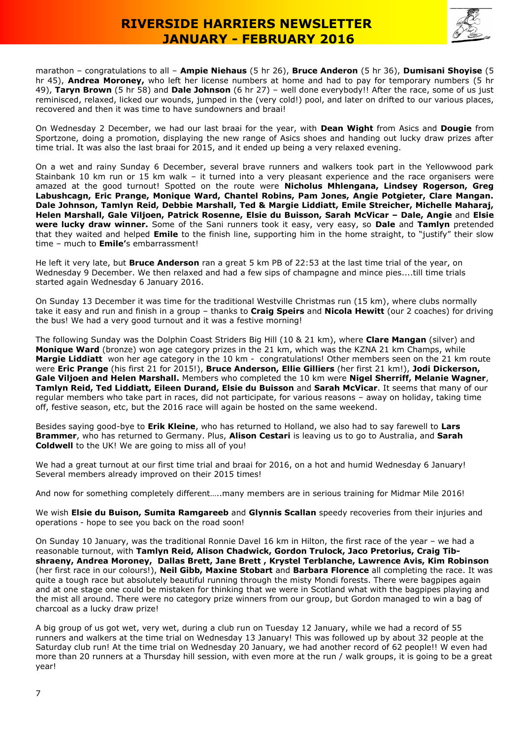

marathon – congratulations to all – **Ampie Niehaus** (5 hr 26), **Bruce Anderon** (5 hr 36), **Dumisani Shoyise** (5 hr 45), **Andrea Moroney,** who left her license numbers at home and had to pay for temporary numbers (5 hr 49), **Taryn Brown** (5 hr 58) and **Dale Johnson** (6 hr 27) – well done everybody!! After the race, some of us just reminisced, relaxed, licked our wounds, jumped in the (very cold!) pool, and later on drifted to our various places, recovered and then it was time to have sundowners and braai!

On Wednesday 2 December, we had our last braai for the year, with **Dean Wight** from Asics and **Dougie** from Sportzone, doing a promotion, displaying the new range of Asics shoes and handing out lucky draw prizes after time trial. It was also the last braai for 2015, and it ended up being a very relaxed evening.

On a wet and rainy Sunday 6 December, several brave runners and walkers took part in the Yellowwood park Stainbank 10 km run or 15 km walk – it turned into a very pleasant experience and the race organisers were amazed at the good turnout! Spotted on the route were **Nicholus Mhlengana, Lindsey Rogerson, Greg Labushcagn, Eric Prange, Monique Ward, Chantel Robins, Pam Jones, Angie Potgieter, Clare Mangan. Dale Johnson, Tamlyn Reid, Debbie Marshall, Ted & Margie Liddiatt, Emile Streicher, Michelle Maharaj, Helen Marshall, Gale Viljoen, Patrick Rosenne, Elsie du Buisson, Sarah McVicar – Dale, Angie** and **Elsie were lucky draw winner.** Some of the Sani runners took it easy, very easy, so **Dale** and **Tamlyn** pretended that they waited and helped **Emile** to the finish line, supporting him in the home straight, to "justify" their slow time – much to **Emile'**s embarrassment!

He left it very late, but **Bruce Anderson** ran a great 5 km PB of 22:53 at the last time trial of the year, on Wednesday 9 December. We then relaxed and had a few sips of champagne and mince pies....till time trials started again Wednesday 6 January 2016.

On Sunday 13 December it was time for the traditional Westville Christmas run (15 km), where clubs normally take it easy and run and finish in a group – thanks to **Craig Speirs** and **Nicola Hewitt** (our 2 coaches) for driving the bus! We had a very good turnout and it was a festive morning!

The following Sunday was the Dolphin Coast Striders Big Hill (10 & 21 km), where **Clare Mangan** (silver) and **Monique Ward** (bronze) won age category prizes in the 21 km, which was the KZNA 21 km Champs, while **Margie Liddiatt** won her age category in the 10 km - congratulations! Other members seen on the 21 km route were **Eric Prange** (his first 21 for 2015!), **Bruce Anderson, Ellie Gilliers** (her first 21 km!), **Jodi Dickerson, Gale Viljoen and Helen Marshall.** Members who completed the 10 km were **Nigel Sherriff, Melanie Wagner**, **Tamlyn Reid, Ted Liddiatt, Eileen Durand, Elsie du Buisson** and **Sarah McVicar**. It seems that many of our regular members who take part in races, did not participate, for various reasons – away on holiday, taking time off, festive season, etc, but the 2016 race will again be hosted on the same weekend.

Besides saying good-bye to **Erik Kleine**, who has returned to Holland, we also had to say farewell to **Lars Brammer**, who has returned to Germany. Plus, **Alison Cestari** is leaving us to go to Australia, and **Sarah Coldwell** to the UK! We are going to miss all of you!

We had a great turnout at our first time trial and braai for 2016, on a hot and humid Wednesday 6 January! Several members already improved on their 2015 times!

And now for something completely different…..many members are in serious training for Midmar Mile 2016!

We wish **Elsie du Buison, Sumita Ramgareeb** and **Glynnis Scallan** speedy recoveries from their injuries and operations - hope to see you back on the road soon!

On Sunday 10 January, was the traditional Ronnie Davel 16 km in Hilton, the first race of the year – we had a reasonable turnout, with **Tamlyn Reid, Alison Chadwick, Gordon Trulock, Jaco Pretorius, Craig Tibshraeny, Andrea Moroney, Dallas Brett, Jane Brett , Krystel Terblanche, Lawrence Avis, Kim Robinson** (her first race in our colours!), **Neil Gibb, Maxine Stobart** and **Barbara Florence** all completing the race. It was quite a tough race but absolutely beautiful running through the misty Mondi forests. There were bagpipes again and at one stage one could be mistaken for thinking that we were in Scotland what with the bagpipes playing and the mist all around. There were no category prize winners from our group, but Gordon managed to win a bag of charcoal as a lucky draw prize!

A big group of us got wet, very wet, during a club run on Tuesday 12 January, while we had a record of 55 runners and walkers at the time trial on Wednesday 13 January! This was followed up by about 32 people at the Saturday club run! At the time trial on Wednesday 20 January, we had another record of 62 people!! W even had more than 20 runners at a Thursday hill session, with even more at the run / walk groups, it is going to be a great year!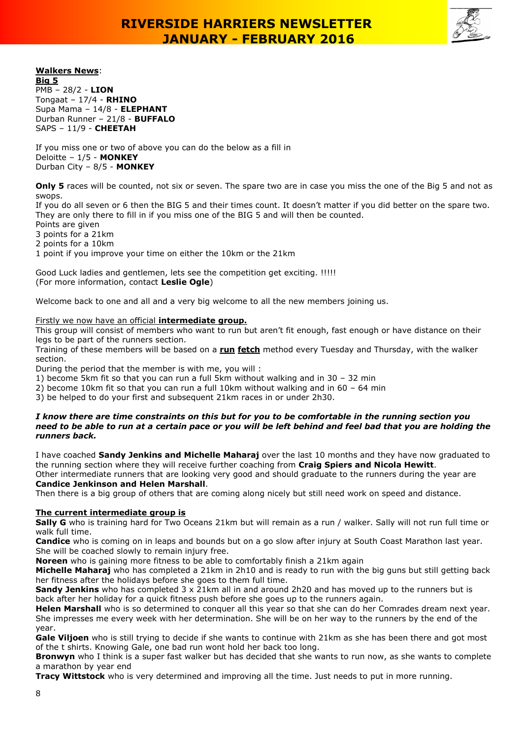

**Walkers News**: **Big 5** PMB – 28/2 - **LION** Tongaat – 17/4 - **RHINO** Supa Mama – 14/8 - **ELEPHANT** Durban Runner – 21/8 - **BUFFALO** SAPS – 11/9 - **CHEETAH**

If you miss one or two of above you can do the below as a fill in Deloitte – 1/5 - **MONKEY** Durban City – 8/5 - **MONKEY**

**Only 5** races will be counted, not six or seven. The spare two are in case you miss the one of the Big 5 and not as swops.

If you do all seven or 6 then the BIG 5 and their times count. It doesn't matter if you did better on the spare two. They are only there to fill in if you miss one of the BIG 5 and will then be counted.

Points are given

3 points for a 21km

2 points for a 10km

1 point if you improve your time on either the 10km or the 21km

Good Luck ladies and gentlemen, lets see the competition get exciting. !!!!! (For more information, contact **Leslie Ogle**)

Welcome back to one and all and a very big welcome to all the new members joining us.

Firstly we now have an official **intermediate group.** 

This group will consist of members who want to run but aren't fit enough, fast enough or have distance on their legs to be part of the runners section.

Training of these members will be based on a **run fetch** method every Tuesday and Thursday, with the walker section.

During the period that the member is with me, you will :

1) become 5km fit so that you can run a full 5km without walking and in 30 – 32 min

2) become 10km fit so that you can run a full 10km without walking and in 60 – 64 min

3) be helped to do your first and subsequent 21km races in or under 2h30.

### *I know there are time constraints on this but for you to be comfortable in the running section you need to be able to run at a certain pace or you will be left behind and feel bad that you are holding the runners back.*

I have coached **Sandy Jenkins and Michelle Maharaj** over the last 10 months and they have now graduated to the running section where they will receive further coaching from **Craig Spiers and Nicola Hewitt**. Other intermediate runners that are looking very good and should graduate to the runners during the year are

# **Candice Jenkinson and Helen Marshall**.

Then there is a big group of others that are coming along nicely but still need work on speed and distance.

# **The current intermediate group is**

**Sally G** who is training hard for Two Oceans 21km but will remain as a run / walker. Sally will not run full time or walk full time.

**Candice** who is coming on in leaps and bounds but on a go slow after injury at South Coast Marathon last year. She will be coached slowly to remain injury free.

**Noreen** who is gaining more fitness to be able to comfortably finish a 21km again

**Michelle Maharaj** who has completed a 21km in 2h10 and is ready to run with the big guns but still getting back her fitness after the holidays before she goes to them full time.

**Sandy Jenkins** who has completed 3 x 21km all in and around 2h20 and has moved up to the runners but is back after her holiday for a quick fitness push before she goes up to the runners again.

**Helen Marshall** who is so determined to conquer all this year so that she can do her Comrades dream next year. She impresses me every week with her determination. She will be on her way to the runners by the end of the year.

**Gale Viljoen** who is still trying to decide if she wants to continue with 21km as she has been there and got most of the t shirts. Knowing Gale, one bad run wont hold her back too long.

**Bronwyn** who I think is a super fast walker but has decided that she wants to run now, as she wants to complete a marathon by year end

**Tracy Wittstock** who is very determined and improving all the time. Just needs to put in more running.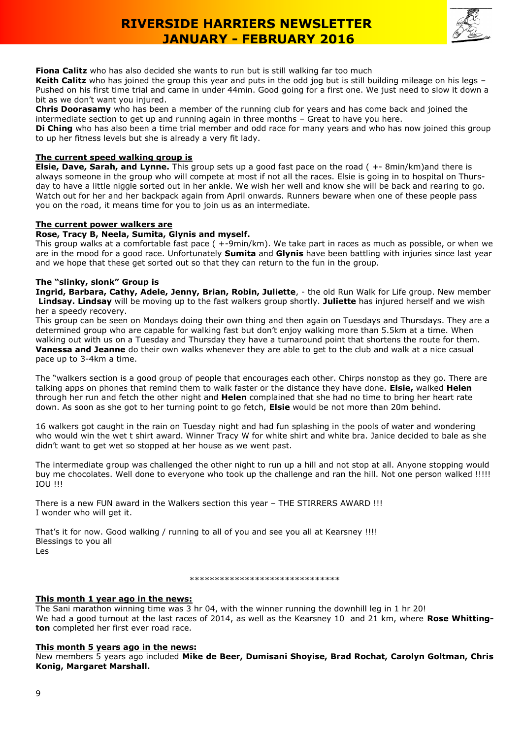

**Fiona Calitz** who has also decided she wants to run but is still walking far too much

**Keith Calitz** who has joined the group this year and puts in the odd jog but is still building mileage on his legs – Pushed on his first time trial and came in under 44min. Good going for a first one. We just need to slow it down a bit as we don't want you injured.

**Chris Doorasamy** who has been a member of the running club for years and has come back and joined the intermediate section to get up and running again in three months – Great to have you here.

**Di Ching** who has also been a time trial member and odd race for many years and who has now joined this group to up her fitness levels but she is already a very fit lady.

### **The current speed walking group is**

**Elsie, Dave, Sarah, and Lynne.** This group sets up a good fast pace on the road ( +- 8min/km)and there is always someone in the group who will compete at most if not all the races. Elsie is going in to hospital on Thursday to have a little niggle sorted out in her ankle. We wish her well and know she will be back and rearing to go. Watch out for her and her backpack again from April onwards. Runners beware when one of these people pass you on the road, it means time for you to join us as an intermediate.

### **The current power walkers are**

### **Rose, Tracy B, Neela, Sumita, Glynis and myself.**

This group walks at a comfortable fast pace ( +-9min/km). We take part in races as much as possible, or when we are in the mood for a good race. Unfortunately **Sumita** and **Glynis** have been battling with injuries since last year and we hope that these get sorted out so that they can return to the fun in the group.

#### **The "slinky, slonk" Group is**

**Ingrid, Barbara, Cathy, Adele, Jenny, Brian, Robin, Juliette**, - the old Run Walk for Life group. New member **Lindsay. Lindsay** will be moving up to the fast walkers group shortly. **Juliette** has injured herself and we wish her a speedy recovery.

This group can be seen on Mondays doing their own thing and then again on Tuesdays and Thursdays. They are a determined group who are capable for walking fast but don't enjoy walking more than 5.5km at a time. When walking out with us on a Tuesday and Thursday they have a turnaround point that shortens the route for them. **Vanessa and Jeanne** do their own walks whenever they are able to get to the club and walk at a nice casual pace up to 3-4km a time.

The "walkers section is a good group of people that encourages each other. Chirps nonstop as they go. There are talking apps on phones that remind them to walk faster or the distance they have done. **Elsie,** walked **Helen** through her run and fetch the other night and **Helen** complained that she had no time to bring her heart rate down. As soon as she got to her turning point to go fetch, **Elsie** would be not more than 20m behind.

16 walkers got caught in the rain on Tuesday night and had fun splashing in the pools of water and wondering who would win the wet t shirt award. Winner Tracy W for white shirt and white bra. Janice decided to bale as she didn't want to get wet so stopped at her house as we went past.

The intermediate group was challenged the other night to run up a hill and not stop at all. Anyone stopping would buy me chocolates. Well done to everyone who took up the challenge and ran the hill. Not one person walked !!!!! IOU !!!

There is a new FUN award in the Walkers section this year – THE STIRRERS AWARD !!! I wonder who will get it.

That's it for now. Good walking / running to all of you and see you all at Kearsney !!!! Blessings to you all Les

#### \*\*\*\*\*\*\*\*\*\*\*\*\*\*\*\*\*\*\*\*\*\*\*\*\*\*\*\*\*\*

### **This month 1 year ago in the news:**

The Sani marathon winning time was 3 hr 04, with the winner running the downhill leg in 1 hr 20! We had a good turnout at the last races of 2014, as well as the Kearsney 10 and 21 km, where **Rose Whittington** completed her first ever road race.

#### **This month 5 years ago in the news:**

New members 5 years ago included **Mike de Beer, Dumisani Shoyise, Brad Rochat, Carolyn Goltman, Chris Konig, Margaret Marshall.**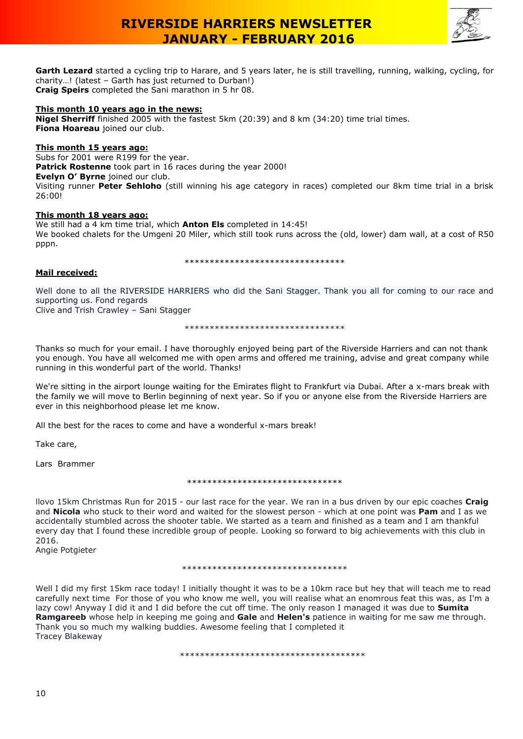

**Garth Lezard** started a cycling trip to Harare, and 5 years later, he is still travelling, running, walking, cycling, for charity…! (latest – Garth has just returned to Durban!) **Craig Speirs** completed the Sani marathon in 5 hr 08.

### **This month 10 years ago in the news:**

**Nigel Sherriff** finished 2005 with the fastest 5km (20:39) and 8 km (34:20) time trial times. **Fiona Hoareau** joined our club.

## **This month 15 years ago:**

Subs for 2001 were R199 for the year. **Patrick Rostenne** took part in 16 races during the year 2000! **Evelyn O' Byrne** joined our club. Visiting runner **Peter Sehloho** (still winning his age category in races) completed our 8km time trial in a brisk 26:00!

## **This month 18 years ago:**

We still had a 4 km time trial, which **Anton Els** completed in 14:45! We booked chalets for the Umgeni 20 Miler, which still took runs across the (old, lower) dam wall, at a cost of R50 pppn.

\*\*\*\*\*\*\*\*\*\*\*\*\*\*\*\*\*\*\*\*\*\*\*\*\*\*\*\*\*\*\*\*

# **Mail received:**

Well done to all the RIVERSIDE HARRIERS who did the Sani Stagger. Thank you all for coming to our race and supporting us. Fond regards

Clive and Trish Crawley – Sani Stagger

\*\*\*\*\*\*\*\*\*\*\*\*\*\*\*\*\*\*\*\*\*\*\*\*\*\*\*\*\*\*\*\*

Thanks so much for your email. I have thoroughly enjoyed being part of the Riverside Harriers and can not thank you enough. You have all welcomed me with open arms and offered me training, advise and great company while running in this wonderful part of the world. Thanks!

We're sitting in the airport lounge waiting for the Emirates flight to Frankfurt via Dubai. After a x-mars break with the family we will move to Berlin beginning of next year. So if you or anyone else from the Riverside Harriers are ever in this neighborhood please let me know.

All the best for the races to come and have a wonderful x-mars break!

Take care,

Lars Brammer

### \*\*\*\*\*\*\*\*\*\*\*\*\*\*\*\*\*\*\*\*\*\*\*\*\*\*\*\*\*\*\*

llovo 15km Christmas Run for 2015 - our last race for the year. We ran in a bus driven by our epic coaches **Craig**  and **Nicola** who stuck to their word and waited for the slowest person - which at one point was **Pam** and I as we accidentally stumbled across the shooter table. We started as a team and finished as a team and I am thankful every day that I found these incredible group of people. Looking so forward to big achievements with this club in 2016.

Angie Potgieter

#### \*\*\*\*\*\*\*\*\*\*\*\*\*\*\*\*\*\*\*\*\*\*\*\*\*\*\*\*\*\*\*\*\*

Well I did my first 15km race today! I initially thought it was to be a 10km race but hey that will teach me to read carefully next time For those of you who know me well, you will realise what an enomrous feat this was, as I'm a lazy cow! Anyway I did it and I did before the cut off time. The only reason I managed it was due to **Sumita Ramgareeb** whose help in keeping me going and **Gale** and **Helen's** patience in waiting for me saw me through. Thank you so much my walking buddies. Awesome feeling that I completed it Tracey Blakeway

\*\*\*\*\*\*\*\*\*\*\*\*\*\*\*\*\*\*\*\*\*\*\*\*\*\*\*\*\*\*\*\*\*\*\*\*\*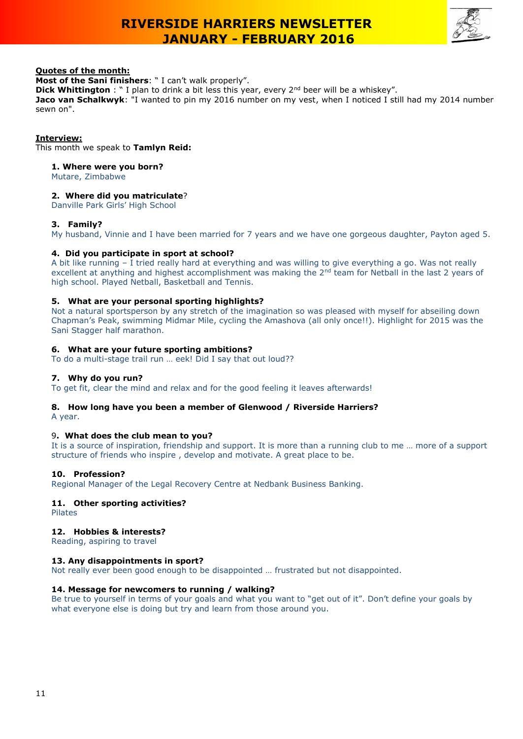

## **Quotes of the month:**

**Most of the Sani finishers**: " I can't walk properly".

**Dick Whittington** : " I plan to drink a bit less this year, every 2<sup>nd</sup> beer will be a whiskey".

**Jaco van Schalkwyk**: "I wanted to pin my 2016 number on my vest, when I noticed I still had my 2014 number sewn on".

### **Interview:**

This month we speak to **Tamlyn Reid:**

### **1. Where were you born?**

Mutare, Zimbabwe

## **2. Where did you matriculate**?

Danville Park Girls' High School

## **3. Family?**

My husband, Vinnie and I have been married for 7 years and we have one gorgeous daughter, Payton aged 5.

## **4. Did you participate in sport at school?**

A bit like running – I tried really hard at everything and was willing to give everything a go. Was not really excellent at anything and highest accomplishment was making the  $2<sup>nd</sup>$  team for Netball in the last 2 years of high school. Played Netball, Basketball and Tennis.

## **5. What are your personal sporting highlights?**

Not a natural sportsperson by any stretch of the imagination so was pleased with myself for abseiling down Chapman's Peak, swimming Midmar Mile, cycling the Amashova (all only once!!). Highlight for 2015 was the Sani Stagger half marathon.

### **6. What are your future sporting ambitions?**

To do a multi-stage trail run … eek! Did I say that out loud??

### **7. Why do you run?**

To get fit, clear the mind and relax and for the good feeling it leaves afterwards!

# **8. How long have you been a member of Glenwood / Riverside Harriers?**

A year.

### 9**. What does the club mean to you?**

It is a source of inspiration, friendship and support. It is more than a running club to me … more of a support structure of friends who inspire , develop and motivate. A great place to be.

# **10. Profession?**

Regional Manager of the Legal Recovery Centre at Nedbank Business Banking.

### **11. Other sporting activities?**

Pilates

### **12. Hobbies & interests?**

Reading, aspiring to travel

### **13. Any disappointments in sport?**

Not really ever been good enough to be disappointed … frustrated but not disappointed.

### **14. Message for newcomers to running / walking?**

Be true to yourself in terms of your goals and what you want to "get out of it". Don't define your goals by what everyone else is doing but try and learn from those around you.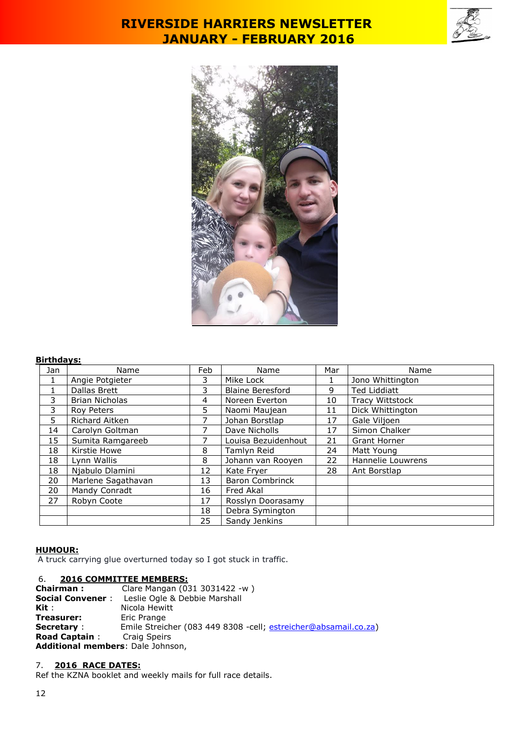



# **Birthdays:**

| Jan | Name                  | Feb | Name                    | Mar | Name                   |
|-----|-----------------------|-----|-------------------------|-----|------------------------|
|     | Angie Potgieter       | 3   | Mike Lock               |     | Jono Whittington       |
|     | Dallas Brett          | 3   | <b>Blaine Beresford</b> | 9   | <b>Ted Liddiatt</b>    |
| 3   | <b>Brian Nicholas</b> | 4   | Noreen Everton          | 10  | <b>Tracy Wittstock</b> |
| 3   | Roy Peters            | 5   | Naomi Maujean           | 11  | Dick Whittington       |
| 5   | Richard Aitken        |     | Johan Borstlap          | 17  | Gale Viljoen           |
| 14  | Carolyn Goltman       |     | Dave Nicholls           | 17  | Simon Chalker          |
| 15  | Sumita Ramgareeb      |     | Louisa Bezuidenhout     | 21  | Grant Horner           |
| 18  | Kirstie Howe          | 8   | Tamlyn Reid             | 24  | Matt Young             |
| 18  | Lynn Wallis           | 8   | Johann van Rooyen       | 22  | Hannelie Louwrens      |
| 18  | Njabulo Dlamini       | 12  | Kate Fryer              | 28  | Ant Borstlap           |
| 20  | Marlene Sagathavan    | 13  | <b>Baron Combrinck</b>  |     |                        |
| 20  | Mandy Conradt         | 16  | Fred Akal               |     |                        |
| 27  | Robyn Coote           | 17  | Rosslyn Doorasamy       |     |                        |
|     |                       | 18  | Debra Symington         |     |                        |
|     |                       | 25  | Sandy Jenkins           |     |                        |

## **HUMOUR:**

A truck carrying glue overturned today so I got stuck in traffic.

#### 6. **2016 COMMITTEE MEMBERS:**

| Chairman :                        | Clare Mangan (031 3031422 -w)                                    |
|-----------------------------------|------------------------------------------------------------------|
| Social Convener :                 | Leslie Ogle & Debbie Marshall                                    |
| Kit :                             | Nicola Hewitt                                                    |
| Treasurer:                        | Eric Prange                                                      |
| <b>Secretary :</b>                | Emile Streicher (083 449 8308 - cell; estreicher@absamail.co.za) |
| <b>Road Captain:</b>              | Craig Speirs                                                     |
| Additional members: Dale Johnson, |                                                                  |

## 7. **2016 RACE DATES:**

Ref the KZNA booklet and weekly mails for full race details.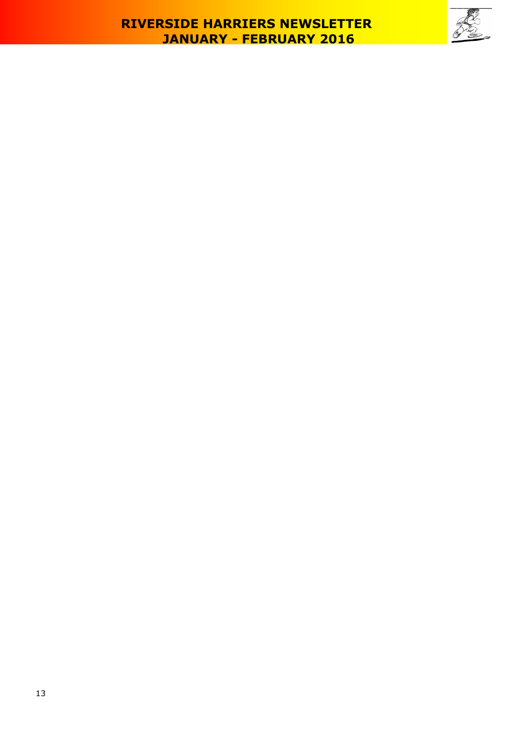